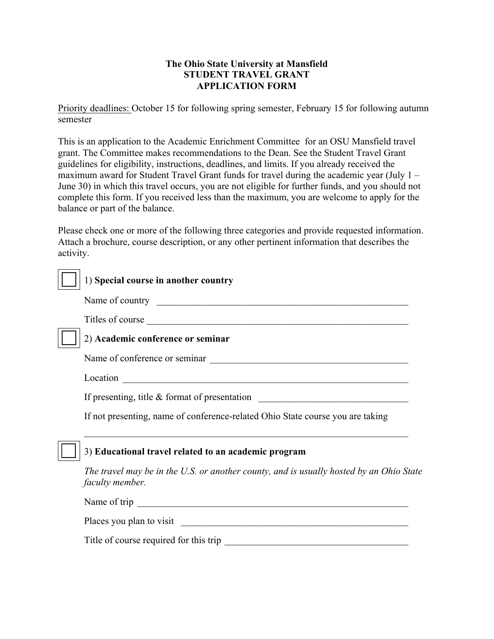## **The Ohio State University at Mansfield STUDENT TRAVEL GRANT APPLICATION FORM**

Priority deadlines: October 15 for following spring semester, February 15 for following autumn semester

This is an application to the Academic Enrichment Committee for an OSU Mansfield travel grant. The Committee makes recommendations to the Dean. See the Student Travel Grant guidelines for eligibility, instructions, deadlines, and limits. If you already received the maximum award for Student Travel Grant funds for travel during the academic year (July 1 – June 30) in which this travel occurs, you are not eligible for further funds, and you should not complete this form. If you received less than the maximum, you are welcome to apply for the balance or part of the balance.

Please check one or more of the following three categories and provide requested information. Attach a brochure, course description, or any other pertinent information that describes the activity.

| 1) Special course in another country                                                                       |
|------------------------------------------------------------------------------------------------------------|
|                                                                                                            |
| Titles of course                                                                                           |
| 2) Academic conference or seminar                                                                          |
|                                                                                                            |
|                                                                                                            |
| If presenting, title & format of presentation                                                              |
| If not presenting, name of conference-related Ohio State course you are taking                             |
| 3) Educational travel related to an academic program                                                       |
| The travel may be in the U.S. or another county, and is usually hosted by an Ohio State<br>faculty member. |
| Name of trip                                                                                               |
| Places you plan to visit                                                                                   |

Title of course required for this trip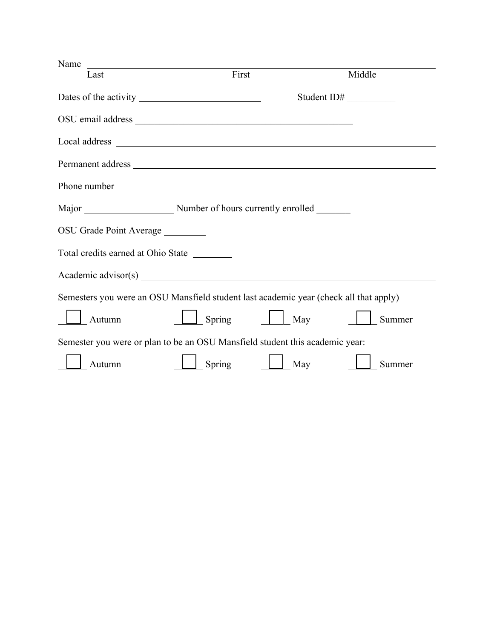| Name                                                                                  |        |     |             |
|---------------------------------------------------------------------------------------|--------|-----|-------------|
| Last                                                                                  | First  |     | Middle      |
|                                                                                       |        |     | Student ID# |
|                                                                                       |        |     |             |
|                                                                                       |        |     |             |
|                                                                                       |        |     |             |
| Phone number                                                                          |        |     |             |
|                                                                                       |        |     |             |
| OSU Grade Point Average ________                                                      |        |     |             |
| Total credits earned at Ohio State                                                    |        |     |             |
|                                                                                       |        |     |             |
| Semesters you were an OSU Mansfield student last academic year (check all that apply) |        |     |             |
| Autumn                                                                                | Spring | May | Summer      |
| Semester you were or plan to be an OSU Mansfield student this academic year:          |        |     |             |
| Autumn                                                                                | Spring | May | Summer      |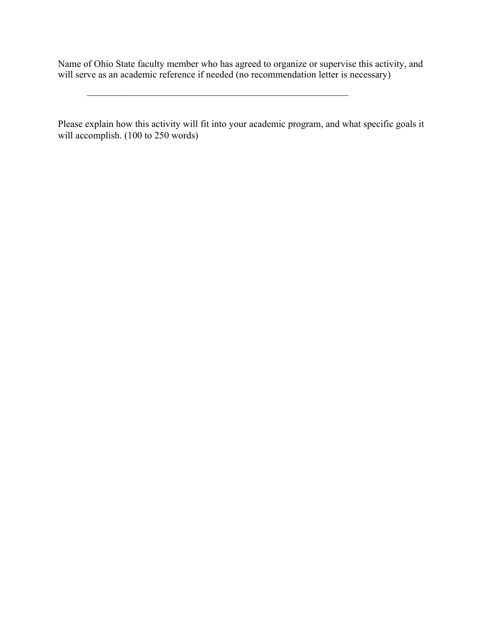Name of Ohio State faculty member who has agreed to organize or supervise this activity, and will serve as an academic reference if needed (no recommendation letter is necessary)

 $\mathcal{L}_\text{max}$  and the contract of the contract of the contract of the contract of the contract of the contract of the contract of the contract of the contract of the contract of the contract of the contract of the contrac

Please explain how this activity will fit into your academic program, and what specific goals it will accomplish. (100 to 250 words)